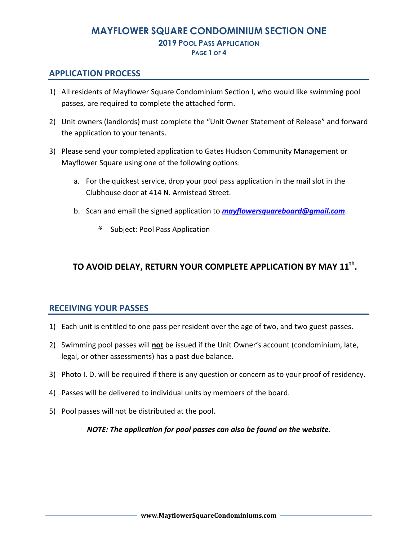# **MAYFLOWER SQUARE CONDOMINIUM SECTION ONE 2019 POOL PASS APPLICATION PAGE 1 OF 4**

# **APPLICATION PROCESS**

- 1) All residents of Mayflower Square Condominium Section I, who would like swimming pool passes, are required to complete the attached form.
- 2) Unit owners (landlords) must complete the "Unit Owner Statement of Release" and forward the application to your tenants.
- 3) Please send your completed application to Gates Hudson Community Management or Mayflower Square using one of the following options:
	- a. For the quickest service, drop your pool pass application in the mail slot in the Clubhouse door at 414 N. Armistead Street.
	- b. Scan and email the signed application to *mayflowersquareboard@gmail.com*.
		- **\*** Subject: Pool Pass Application

# **TO AVOID DELAY, RETURN YOUR COMPLETE APPLICATION BY MAY 11th .**

### **RECEIVING YOUR PASSES**

- 1) Each unit is entitled to one pass per resident over the age of two, and two guest passes.
- 2) Swimming pool passes will **not** be issued if the Unit Owner's account (condominium, late, legal, or other assessments) has a past due balance.
- 3) Photo I. D. will be required if there is any question or concern as to your proof of residency.
- 4) Passes will be delivered to individual units by members of the board.
- 5) Pool passes will not be distributed at the pool.

### *NOTE: The application for pool passes can also be found on the website.*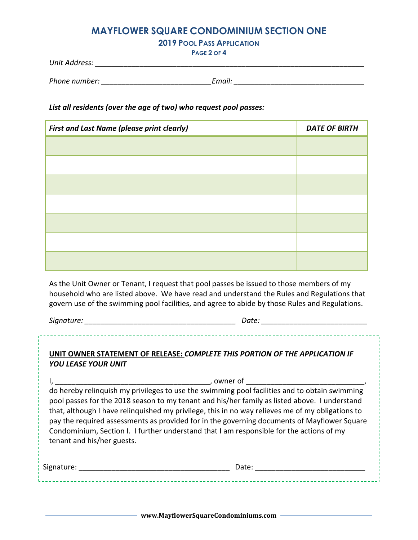# **MAYFLOWER SQUARE CONDOMINIUM SECTION ONE**

**2019 POOL PASS APPLICATION**

**PAGE 2 OF 4** 

| Unit Address: |  |
|---------------|--|
|               |  |

| Phone number: | Email. |
|---------------|--------|
|               |        |

### *List all residents (over the age of two) who request pool passes:*

| <b>First and Last Name (please print clearly)</b> | <b>DATE OF BIRTH</b> |
|---------------------------------------------------|----------------------|
|                                                   |                      |
|                                                   |                      |
|                                                   |                      |
|                                                   |                      |
|                                                   |                      |
|                                                   |                      |
|                                                   |                      |

As the Unit Owner or Tenant, I request that pool passes be issued to those members of my household who are listed above. We have read and understand the Rules and Regulations that govern use of the swimming pool facilities, and agree to abide by those Rules and Regulations.

*Signature: \_\_\_\_\_\_\_\_\_\_\_\_\_\_\_\_\_\_\_\_\_\_\_\_\_\_\_\_\_\_\_\_\_\_\_\_\_ Date: \_\_\_\_\_\_\_\_\_\_\_\_\_\_\_\_\_\_\_\_\_\_\_\_\_\_* 

# **UNIT OWNER STATEMENT OF RELEASE:** *COMPLETE THIS PORTION OF THE APPLICATION IF YOU LEASE YOUR UNIT*

I, \_\_\_\_\_\_\_\_\_\_\_\_\_\_\_\_\_\_\_\_\_\_\_\_\_\_\_\_\_\_\_\_\_\_\_\_\_\_, owner of \_\_\_\_\_\_\_\_\_\_\_\_\_\_\_\_\_\_\_\_\_\_\_\_\_\_\_\_\_, do hereby relinquish my privileges to use the swimming pool facilities and to obtain swimming pool passes for the 2018 season to my tenant and his/her family as listed above. I understand that, although I have relinquished my privilege, this in no way relieves me of my obligations to pay the required assessments as provided for in the governing documents of Mayflower Square Condominium, Section I. I further understand that I am responsible for the actions of my tenant and his/her guests.

| Signature: | Jate    |  |
|------------|---------|--|
|            | - - - - |  |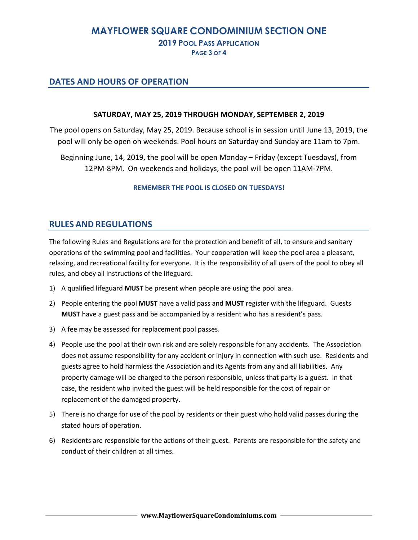# **MAYFLOWER SQUARE CONDOMINIUM SECTION ONE 2019 POOL PASS APPLICATION**

**PAGE 3 OF 4** 

### **DATES AND HOURS OF OPERATION**

### **SATURDAY, MAY 25, 2019 THROUGH MONDAY, SEPTEMBER 2, 2019**

The pool opens on Saturday, May 25, 2019. Because school is in session until June 13, 2019, the pool will only be open on weekends. Pool hours on Saturday and Sunday are 11am to 7pm.

Beginning June, 14, 2019, the pool will be open Monday – Friday (except Tuesdays), from 12PM-8PM. On weekends and holidays, the pool will be open 11AM-7PM.

### **REMEMBER THE POOL IS CLOSED ON TUESDAYS!**

# **RULES AND REGULATIONS**

The following Rules and Regulations are for the protection and benefit of all, to ensure and sanitary operations of the swimming pool and facilities. Your cooperation will keep the pool area a pleasant, relaxing, and recreational facility for everyone. It is the responsibility of all users of the pool to obey all rules, and obey all instructions of the lifeguard.

- 1) A qualified lifeguard **MUST** be present when people are using the pool area.
- 2) People entering the pool **MUST** have a valid pass and **MUST** register with the lifeguard. Guests **MUST** have a guest pass and be accompanied by a resident who has a resident's pass.
- 3) A fee may be assessed for replacement pool passes.
- 4) People use the pool at their own risk and are solely responsible for any accidents. The Association does not assume responsibility for any accident or injury in connection with such use. Residents and guests agree to hold harmless the Association and its Agents from any and all liabilities. Any property damage will be charged to the person responsible, unless that party is a guest. In that case, the resident who invited the guest will be held responsible for the cost of repair or replacement of the damaged property.
- 5) There is no charge for use of the pool by residents or their guest who hold valid passes during the stated hours of operation.
- 6) Residents are responsible for the actions of their guest. Parents are responsible for the safety and conduct of their children at all times.